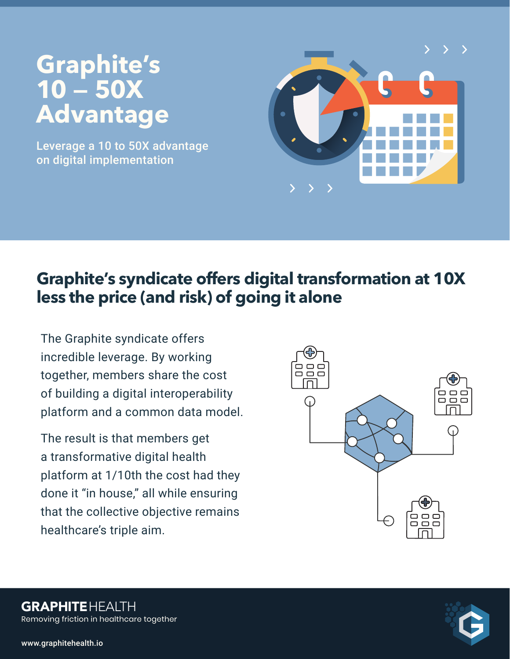# **Graphite's 10 — 50X Advantage**

Leverage a 10 to 50X advantage on digital implementation



# **Graphite's syndicate offers digital transformation at 10X less the price (and risk) of going it alone**

The Graphite syndicate offers incredible leverage. By working together, members share the cost of building a digital interoperability platform and a common data model.

The result is that members get a transformative digital health platform at 1/10th the cost had they done it "in house," all while ensuring that the collective objective remains healthcare's triple aim.



Removing friction in healthcare together **GRAPHITEHEALTH**